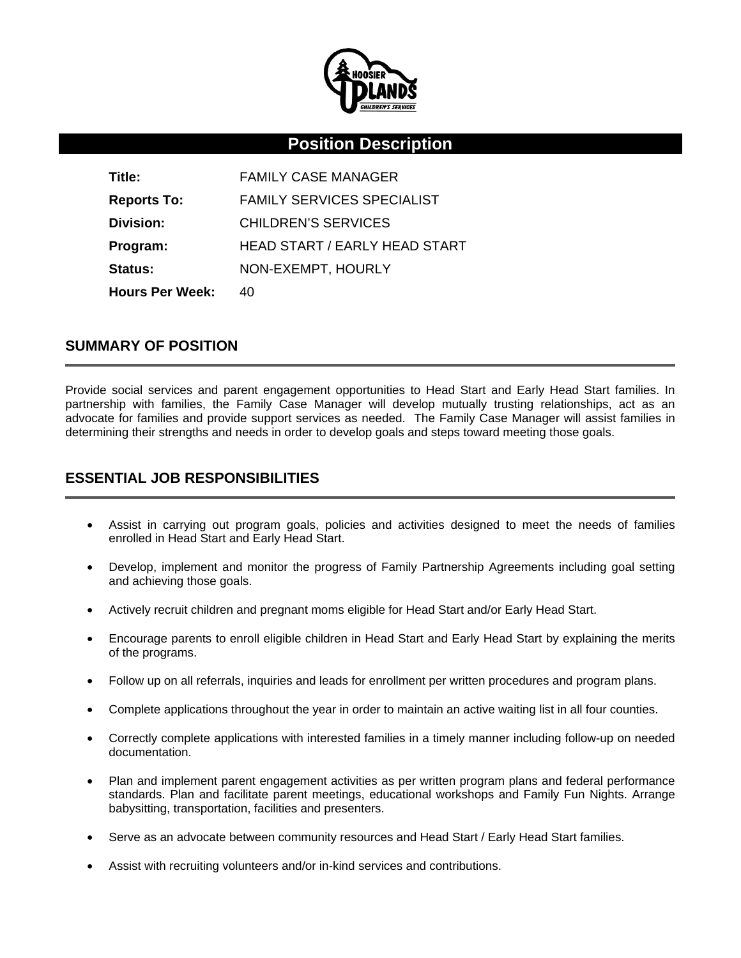

# **Position Description**

| Title:                 | <b>FAMILY CASE MANAGER</b>        |
|------------------------|-----------------------------------|
| <b>Reports To:</b>     | <b>FAMILY SERVICES SPECIALIST</b> |
| Division:              | <b>CHILDREN'S SERVICES</b>        |
| Program:               | HEAD START / EARLY HEAD START     |
| <b>Status:</b>         | NON-EXEMPT, HOURLY                |
| <b>Hours Per Week:</b> | 40                                |

### **SUMMARY OF POSITION**

Provide social services and parent engagement opportunities to Head Start and Early Head Start families. In partnership with families, the Family Case Manager will develop mutually trusting relationships, act as an advocate for families and provide support services as needed. The Family Case Manager will assist families in determining their strengths and needs in order to develop goals and steps toward meeting those goals.

## **ESSENTIAL JOB RESPONSIBILITIES**

- Assist in carrying out program goals, policies and activities designed to meet the needs of families enrolled in Head Start and Early Head Start.
- Develop, implement and monitor the progress of Family Partnership Agreements including goal setting and achieving those goals.
- Actively recruit children and pregnant moms eligible for Head Start and/or Early Head Start.
- Encourage parents to enroll eligible children in Head Start and Early Head Start by explaining the merits of the programs.
- Follow up on all referrals, inquiries and leads for enrollment per written procedures and program plans.
- Complete applications throughout the year in order to maintain an active waiting list in all four counties.
- Correctly complete applications with interested families in a timely manner including follow-up on needed documentation.
- Plan and implement parent engagement activities as per written program plans and federal performance standards. Plan and facilitate parent meetings, educational workshops and Family Fun Nights. Arrange babysitting, transportation, facilities and presenters.
- Serve as an advocate between community resources and Head Start / Early Head Start families.
- Assist with recruiting volunteers and/or in-kind services and contributions.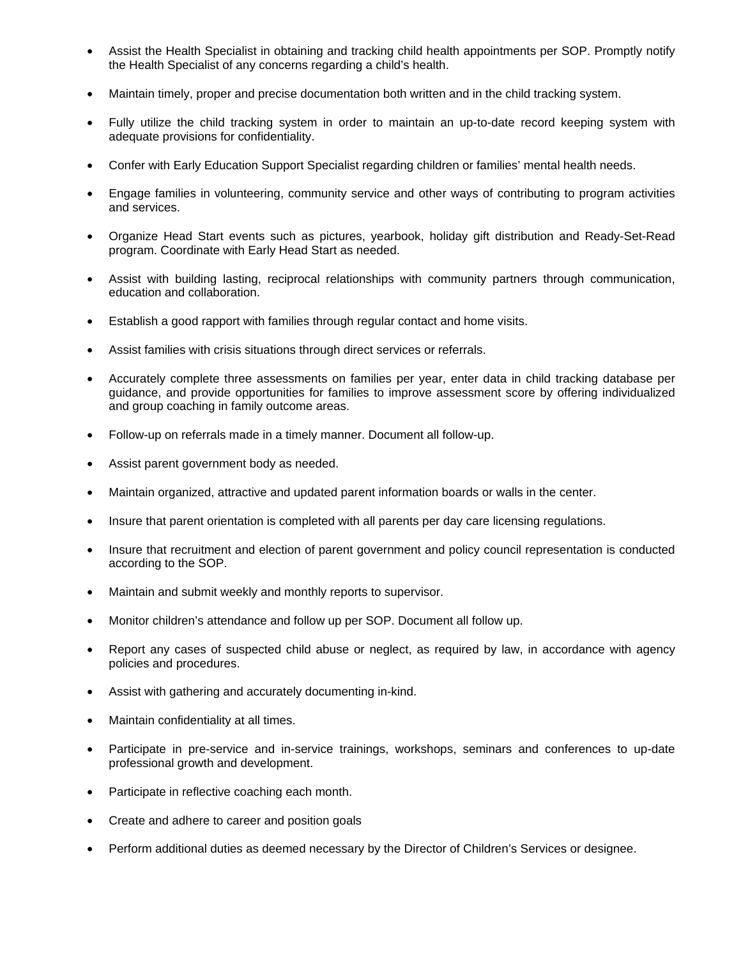- Assist the Health Specialist in obtaining and tracking child health appointments per SOP. Promptly notify the Health Specialist of any concerns regarding a child's health.
- Maintain timely, proper and precise documentation both written and in the child tracking system.
- Fully utilize the child tracking system in order to maintain an up-to-date record keeping system with adequate provisions for confidentiality.
- Confer with Early Education Support Specialist regarding children or families' mental health needs.
- Engage families in volunteering, community service and other ways of contributing to program activities and services.
- Organize Head Start events such as pictures, yearbook, holiday gift distribution and Ready-Set-Read program. Coordinate with Early Head Start as needed.
- Assist with building lasting, reciprocal relationships with community partners through communication, education and collaboration.
- Establish a good rapport with families through regular contact and home visits.
- Assist families with crisis situations through direct services or referrals.
- Accurately complete three assessments on families per year, enter data in child tracking database per guidance, and provide opportunities for families to improve assessment score by offering individualized and group coaching in family outcome areas.
- Follow-up on referrals made in a timely manner. Document all follow-up.
- Assist parent government body as needed.
- Maintain organized, attractive and updated parent information boards or walls in the center.
- Insure that parent orientation is completed with all parents per day care licensing regulations.
- Insure that recruitment and election of parent government and policy council representation is conducted according to the SOP.
- Maintain and submit weekly and monthly reports to supervisor.
- Monitor children's attendance and follow up per SOP. Document all follow up.
- Report any cases of suspected child abuse or neglect, as required by law, in accordance with agency policies and procedures.
- Assist with gathering and accurately documenting in-kind.
- Maintain confidentiality at all times.
- Participate in pre-service and in-service trainings, workshops, seminars and conferences to up-date professional growth and development.
- Participate in reflective coaching each month.
- Create and adhere to career and position goals
- Perform additional duties as deemed necessary by the Director of Children's Services or designee.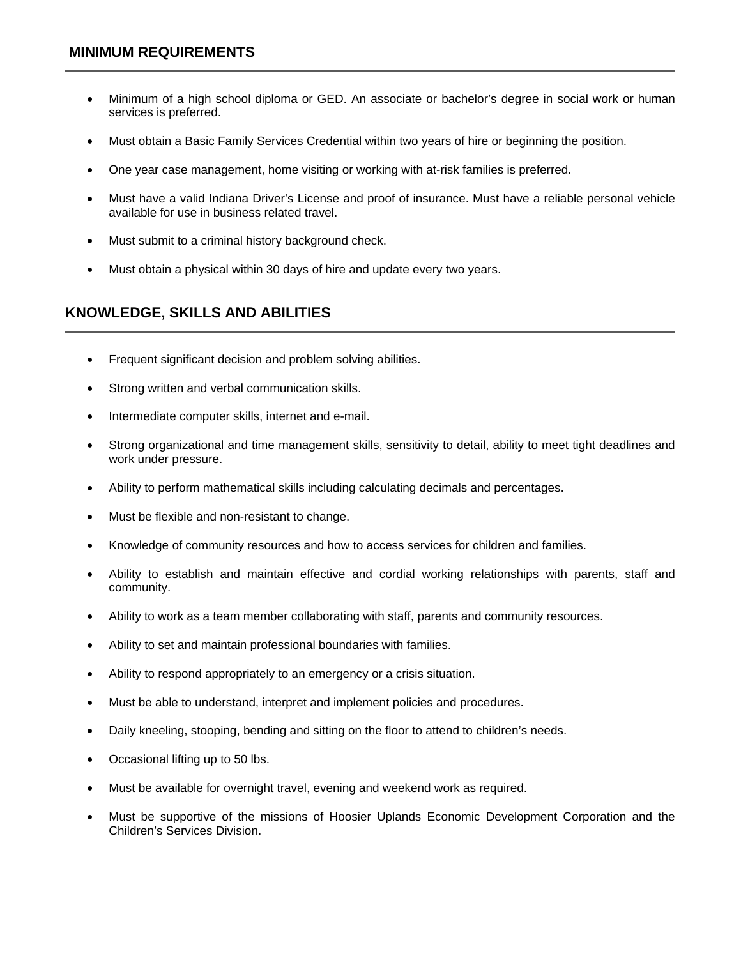- Minimum of a high school diploma or GED. An associate or bachelor's degree in social work or human services is preferred.
- Must obtain a Basic Family Services Credential within two years of hire or beginning the position.
- One year case management, home visiting or working with at-risk families is preferred.
- Must have a valid Indiana Driver's License and proof of insurance. Must have a reliable personal vehicle available for use in business related travel.
- Must submit to a criminal history background check.
- Must obtain a physical within 30 days of hire and update every two years.

# **KNOWLEDGE, SKILLS AND ABILITIES**

- Frequent significant decision and problem solving abilities.
- Strong written and verbal communication skills.
- Intermediate computer skills, internet and e-mail.
- Strong organizational and time management skills, sensitivity to detail, ability to meet tight deadlines and work under pressure.
- Ability to perform mathematical skills including calculating decimals and percentages.
- Must be flexible and non-resistant to change.
- Knowledge of community resources and how to access services for children and families.
- Ability to establish and maintain effective and cordial working relationships with parents, staff and community.
- Ability to work as a team member collaborating with staff, parents and community resources.
- Ability to set and maintain professional boundaries with families.
- Ability to respond appropriately to an emergency or a crisis situation.
- Must be able to understand, interpret and implement policies and procedures.
- Daily kneeling, stooping, bending and sitting on the floor to attend to children's needs.
- Occasional lifting up to 50 lbs.
- Must be available for overnight travel, evening and weekend work as required.
- Must be supportive of the missions of Hoosier Uplands Economic Development Corporation and the Children's Services Division.